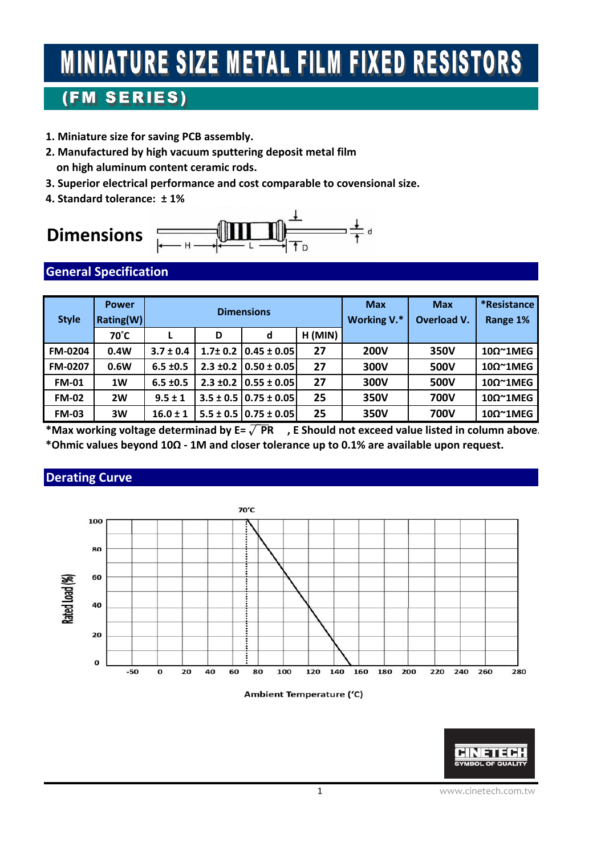# **MINIATURE SIZE METAL FILM FIXED RESISTORS**

## (FM SERIES)

- **1. Miniature size for saving PCB assembly.**
- **2. Manufactured by high vacuum sputtering deposit metal film on high aluminum content ceramic rods.**
- **3. Superior electrical performance and cost comparable to covensional size.**
- **4. Standard tolerance: ± 1%**

## **Dimensions**



#### **General Specification**

| <b>Style</b>   | <b>Power</b><br>Rating(W) | <b>Dimensions</b> |               |                                 |         | <b>Max</b><br>Working V.* | <b>Max</b><br>Overload V. | *Resistance<br>Range 1% |
|----------------|---------------------------|-------------------|---------------|---------------------------------|---------|---------------------------|---------------------------|-------------------------|
|                | 70°C                      |                   | D             | d                               | H (MIN) |                           |                           |                         |
| <b>FM-0204</b> | 0.4W                      | $3.7 \pm 0.4$     |               | $1.7\pm0.2$   0.45 $\pm$ 0.05   | 27      | <b>200V</b>               | 350V                      | 10Ω~1MEG                |
| <b>FM-0207</b> | 0.6W                      | $6.5 \pm 0.5$     | $2.3 \pm 0.2$ | $0.50 \pm 0.05$                 | 27      | 300V                      | 500V                      | 10Ω~1MEG                |
| <b>FM-01</b>   | 1W                        | $6.5 \pm 0.5$     |               | $2.3 \pm 0.2 \pm 0.55 \pm 0.05$ | 27      | 300V                      | 500V                      | 10Ω~1MEG                |
| <b>FM-02</b>   | 2W                        | $9.5 \pm 1$       |               | $3.5 \pm 0.5$   0.75 $\pm$ 0.05 | 25      | 350V                      | <b>700V</b>               | 10Ω~1MEG                |
| <b>FM-03</b>   | 3W                        | $16.0 \pm 1$      |               | $5.5 \pm 0.5$   0.75 $\pm$ 0.05 | 25      | 350V                      | <b>700V</b>               | $10\Omega^{\sim}$ 1MEG  |

**\*Max working voltage determinad by E=** √**PR , E Should not exceed value listed in column above. \*Ohmic values beyond 10Ω ‐ 1M and closer tolerance up to 0.1% are available upon request.**

#### **Derating Curve**







1 www.cinetech.com.tw